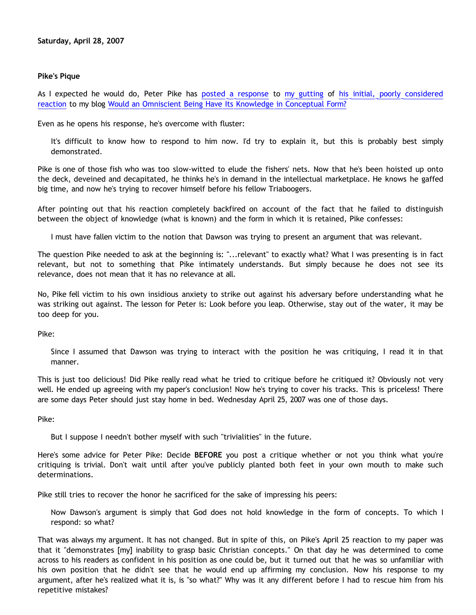### **Pike's Pique**

As I expected he would do, Peter Pike has [posted a response](http://triablogue.blogspot.com/2007/04/more-from-dawson.html) to [my gutting](http://bahnsenburner.blogspot.com/2007/04/pike-on-concepts-and-omniscience.html) of [his initial, poorly considered](http://triablogue.blogspot.com/2007/04/dawsons-concepts.html) [reaction](http://triablogue.blogspot.com/2007/04/dawsons-concepts.html) to my blog [Would an Omniscient Being Have Its Knowledge in Conceptual Form?](http://bahnsenburner.blogspot.com/2007/04/would-omniscient-mind-have-knowledge-in.html)

Even as he opens his response, he's overcome with fluster:

It's difficult to know how to respond to him now. I'd try to explain it, but this is probably best simply demonstrated.

Pike is one of those fish who was too slow-witted to elude the fishers' nets. Now that he's been hoisted up onto the deck, deveined and decapitated, he thinks he's in demand in the intellectual marketplace. He knows he gaffed big time, and now he's trying to recover himself before his fellow Triaboogers.

After pointing out that his reaction completely backfired on account of the fact that he failed to distinguish between the object of knowledge (what is known) and the form in which it is retained, Pike confesses:

I must have fallen victim to the notion that Dawson was trying to present an argument that was relevant.

The question Pike needed to ask at the beginning is: "...relevant" to exactly what? What I was presenting is in fact relevant, but not to something that Pike intimately understands. But simply because he does not see its relevance, does not mean that it has no relevance at all.

No, Pike fell victim to his own insidious anxiety to strike out against his adversary before understanding what he was striking out against. The lesson for Peter is: Look before you leap. Otherwise, stay out of the water, it may be too deep for you.

Pike:

Since I assumed that Dawson was trying to interact with the position he was critiquing, I read it in that manner.

This is just too delicious! Did Pike really read what he tried to critique before he critiqued it? Obviously not very well. He ended up agreeing with my paper's conclusion! Now he's trying to cover his tracks. This is priceless! There are some days Peter should just stay home in bed. Wednesday April 25, 2007 was one of those days.

Pike:

But I suppose I needn't bother myself with such "trivialities" in the future.

Here's some advice for Peter Pike: Decide **BEFORE** you post a critique whether or not you think what you're critiquing is trivial. Don't wait until after you've publicly planted both feet in your own mouth to make such determinations.

Pike still tries to recover the honor he sacrificed for the sake of impressing his peers:

Now Dawson's argument is simply that God does not hold knowledge in the form of concepts. To which I respond: so what?

That was always my argument. It has not changed. But in spite of this, on Pike's April 25 reaction to my paper was that it "demonstrates [my] inability to grasp basic Christian concepts." On that day he was determined to come across to his readers as confident in his position as one could be, but it turned out that he was so unfamiliar with his own position that he didn't see that he would end up affirming my conclusion. Now his response to my argument, after he's realized what it is, is "so what?" Why was it any different before I had to rescue him from his repetitive mistakes?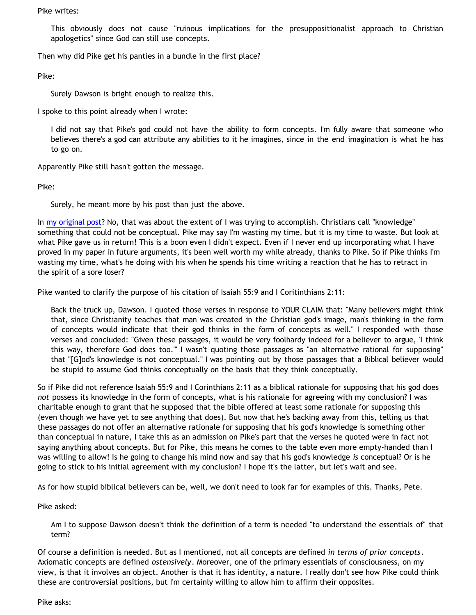Pike writes:

This obviously does not cause "ruinous implications for the presuppositionalist approach to Christian apologetics" since God can still use concepts.

Then why did Pike get his panties in a bundle in the first place?

Pike:

Surely Dawson is bright enough to realize this.

I spoke to this point already when I wrote:

I did not say that Pike's god could not have the ability to form concepts. I'm fully aware that someone who believes there's a god can attribute any abilities to it he imagines, since in the end imagination is what he has to go on.

Apparently Pike still hasn't gotten the message.

Pike:

Surely, he meant more by his post than just the above.

In [my original post](http://bahnsenburner.blogspot.com/2007/04/would-omniscient-mind-have-knowledge-in.html)? No, that was about the extent of I was trying to accomplish. Christians call "knowledge" something that could not be conceptual. Pike may say I'm wasting my time, but it is my time to waste. But look at what Pike gave us in return! This is a boon even I didn't expect. Even if I never end up incorporating what I have proved in my paper in future arguments, it's been well worth my while already, thanks to Pike. So if Pike thinks I'm wasting my time, what's he doing with his when he spends his time writing a reaction that he has to retract in the spirit of a sore loser?

Pike wanted to clarify the purpose of his citation of Isaiah 55:9 and I Coritinthians 2:11:

Back the truck up, Dawson. I quoted those verses in response to YOUR CLAIM that: "Many believers might think that, since Christianity teaches that man was created in the Christian god's image, man's thinking in the form of concepts would indicate that their god thinks in the form of concepts as well." I responded with those verses and concluded: "Given these passages, it would be very foolhardy indeed for a believer to argue, 'I think this way, therefore God does too.'" I wasn't quoting those passages as "an alternative rational for supposing" that "[G]od's knowledge is not conceptual." I was pointing out by those passages that a Biblical believer would be stupid to assume God thinks conceptually on the basis that they think conceptually.

So if Pike did not reference Isaiah 55:9 and I Corinthians 2:11 as a biblical rationale for supposing that his god does *not* possess its knowledge in the form of concepts, what is his rationale for agreeing with my conclusion? I was charitable enough to grant that he supposed that the bible offered at least some rationale for supposing this (even though we have yet to see anything that does). But now that he's backing away from this, telling us that these passages do not offer an alternative rationale for supposing that his god's knowledge is something other than conceptual in nature, I take this as an admission on Pike's part that the verses he quoted were in fact not saying anything about concepts. But for Pike, this means he comes to the table even more empty-handed than I was willing to allow! Is he going to change his mind now and say that his god's knowledge *is* conceptual? Or is he going to stick to his initial agreement with my conclusion? I hope it's the latter, but let's wait and see.

As for how stupid biblical believers can be, well, we don't need to look far for examples of this. Thanks, Pete.

Pike asked:

Am I to suppose Dawson doesn't think the definition of a term is needed "to understand the essentials of" that term?

Of course a definition is needed. But as I mentioned, not all concepts are defined *in terms of prior concepts*. Axiomatic concepts are defined *ostensively*. Moreover, one of the primary essentials of consciousness, on my view, is that it involves an object. Another is that it has identity, a nature. I really don't see how Pike could think these are controversial positions, but I'm certainly willing to allow him to affirm their opposites.

Pike asks: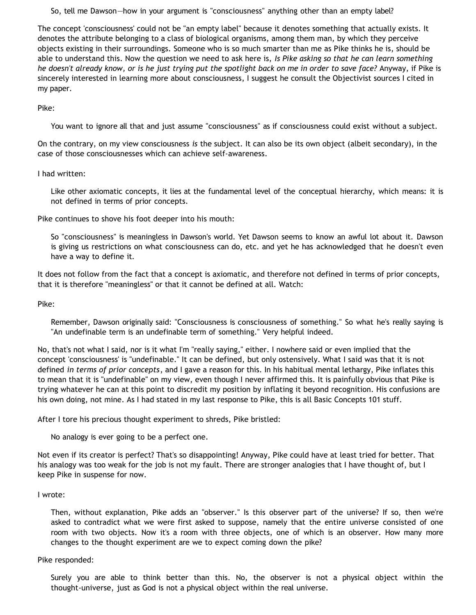So, tell me Dawson—how in your argument is "consciousness" anything other than an empty label?

The concept 'consciousness' could not be "an empty label" because it denotes something that actually exists. It denotes the attribute belonging to a class of biological organisms, among them man, by which they perceive objects existing in their surroundings. Someone who is so much smarter than me as Pike thinks he is, should be able to understand this. Now the question we need to ask here is, *Is Pike asking so that he can learn something he doesn't already know, or is he just trying put the spotlight back on me in order to save face?* Anyway, if Pike is sincerely interested in learning more about consciousness, I suggest he consult the Objectivist sources I cited in my paper.

Pike:

You want to ignore all that and just assume "consciousness" as if consciousness could exist without a subject.

On the contrary, on my view consciousness *is* the subject. It can also be its own object (albeit secondary), in the case of those consciousnesses which can achieve self-awareness.

## I had written:

Like other axiomatic concepts, it lies at the fundamental level of the conceptual hierarchy, which means: it is not defined in terms of prior concepts.

Pike continues to shove his foot deeper into his mouth:

So "consciousness" is meaningless in Dawson's world. Yet Dawson seems to know an awful lot about it. Dawson is giving us restrictions on what consciousness can do, etc. and yet he has acknowledged that he doesn't even have a way to define it.

It does not follow from the fact that a concept is axiomatic, and therefore not defined in terms of prior concepts, that it is therefore "meaningless" or that it cannot be defined at all. Watch:

Pike:

Remember, Dawson originally said: "Consciousness is consciousness of something." So what he's really saying is "An undefinable term is an undefinable term of something." Very helpful indeed.

No, that's not what I said, nor is it what I'm "really saying," either. I nowhere said or even implied that the concept 'consciousness' is "undefinable." It can be defined, but only ostensively. What I said was that it is not defined *in terms of prior concepts*, and I gave a reason for this. In his habitual mental lethargy, Pike inflates this to mean that it is "undefinable" on my view, even though I never affirmed this. It is painfully obvious that Pike is trying whatever he can at this point to discredit my position by inflating it beyond recognition. His confusions are his own doing, not mine. As I had stated in my last response to Pike, this is all Basic Concepts 101 stuff.

After I tore his precious thought experiment to shreds, Pike bristled:

No analogy is ever going to be a perfect one.

Not even if its creator is perfect? That's so disappointing! Anyway, Pike could have at least tried for better. That his analogy was too weak for the job is not my fault. There are stronger analogies that I have thought of, but I keep Pike in suspense for now.

#### I wrote:

Then, without explanation, Pike adds an "observer." Is this observer part of the universe? If so, then we're asked to contradict what we were first asked to suppose, namely that the entire universe consisted of one room with two objects. Now it's a room with three objects, one of which is an observer. How many more changes to the thought experiment are we to expect coming down the pike?

#### Pike responded:

Surely you are able to think better than this. No, the observer is not a physical object within the thought-universe, just as God is not a physical object within the real universe.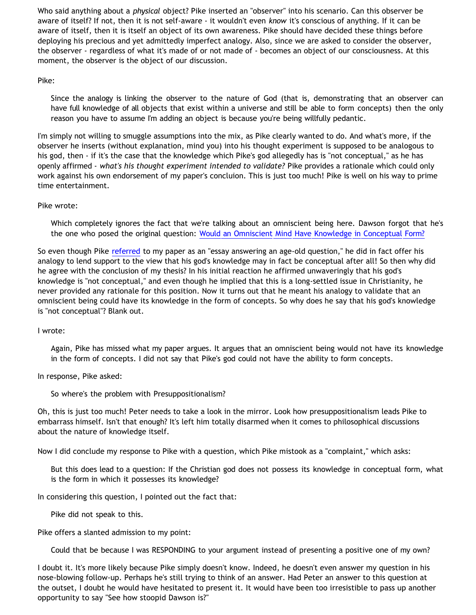Who said anything about a *physical* object? Pike inserted an "observer" into his scenario. Can this observer be aware of itself? If not, then it is not self-aware - it wouldn't even *know* it's conscious of anything. If it can be aware of itself, then it is itself an object of its own awareness. Pike should have decided these things before deploying his precious and yet admittedly imperfect analogy. Also, since we are asked to consider the observer, the observer - regardless of what it's made of or not made of - becomes an object of our consciousness. At this moment, the observer is the object of our discussion.

## Pike:

Since the analogy is linking the observer to the nature of God (that is, demonstrating that an observer can have full knowledge of all objects that exist within a universe and still be able to form concepts) then the only reason you have to assume I'm adding an object is because you're being willfully pedantic.

I'm simply not willing to smuggle assumptions into the mix, as Pike clearly wanted to do. And what's more, if the observer he inserts (without explanation, mind you) into his thought experiment is supposed to be analogous to his god, then - if it's the case that the knowledge which Pike's god allegedly has is "not conceptual," as he has openly affirmed - *what's his thought experiment intended to validate?* Pike provides a rationale which could only work against his own endorsement of my paper's concluion. This is just too much! Pike is well on his way to prime time entertainment.

# Pike wrote:

Which completely ignores the fact that we're talking about an omniscient being here. Dawson forgot that he's the one who posed the original question: [Would an Omniscient Mind Have Knowledge in Conceptual Form?](http://bahnsenburner.blogspot.com/2007/04/would-omniscient-mind-have-knowledge-in.html)

So even though Pike [referred](http://triablogue.blogspot.com/2007/04/dawsons-concepts.html) to my paper as an "essay answering an age-old question," he did in fact offer his analogy to lend support to the view that his god's knowledge may in fact be conceptual after all! So then why did he agree with the conclusion of my thesis? In his initial reaction he affirmed unwaveringly that his god's knowledge is "not conceptual," and even though he implied that this is a long-settled issue in Christianity, he never provided any rationale for this position. Now it turns out that he meant his analogy to validate that an omniscient being could have its knowledge in the form of concepts. So why does he say that his god's knowledge is "not conceptual"? Blank out.

#### I wrote:

Again, Pike has missed what my paper argues. It argues that an omniscient being would not have its knowledge in the form of concepts. I did not say that Pike's god could not have the ability to form concepts.

In response, Pike asked:

So where's the problem with Presuppositionalism?

Oh, this is just too much! Peter needs to take a look in the mirror. Look how presuppositionalism leads Pike to embarrass himself. Isn't that enough? It's left him totally disarmed when it comes to philosophical discussions about the nature of knowledge itself.

Now I did conclude my response to Pike with a question, which Pike mistook as a "complaint," which asks:

But this does lead to a question: If the Christian god does not possess its knowledge in conceptual form, what is the form in which it possesses its knowledge?

In considering this question, I pointed out the fact that:

Pike did not speak to this.

Pike offers a slanted admission to my point:

Could that be because I was RESPONDING to your argument instead of presenting a positive one of my own?

I doubt it. It's more likely because Pike simply doesn't know. Indeed, he doesn't even answer my question in his nose-blowing follow-up. Perhaps he's still trying to think of an answer. Had Peter an answer to this question at the outset, I doubt he would have hesitated to present it. It would have been too irresistible to pass up another opportunity to say "See how stoopid Dawson is?"